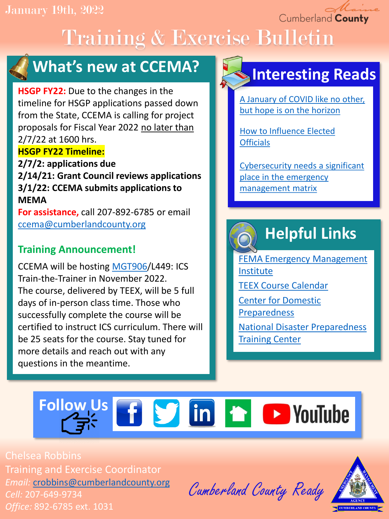Cumberland County

# Training & Exercise Bulletin



### **What's new at CCEMA?**

**HSGP FY22:** Due to the changes in the timeline for HSGP applications passed down from the State, CCEMA is calling for project proposals for Fiscal Year 2022 no later than 2/7/22 at 1600 hrs. **HSGP FY22 Timeline:**

**2/7/2: applications due 2/14/21: Grant Council reviews applications 3/1/22: CCEMA submits applications to MEMA**

**For assistance,** call 207-892-6785 or email [ccema@cumberlandcounty.org](mailto:ccema@cumberlandcounty.org)

### **Training Announcement!**

CCEMA will be hosting [MGT906/](https://docs.google.com/document/d/1t2XNuZyKYdBy-CvpGZlqOoCOh31wEnA4blzWcP3mVlg/edit?usp=sharing)L449: ICS Train-the-Trainer in November 2022. The course, delivered by TEEX, will be 5 full days of in-person class time. Those who successfully complete the course will be certified to instruct ICS curriculum. There will be 25 seats for the course. Stay tuned for more details and reach out with any questions in the meantime.

### **Interesting Reads**

[A January of COVID like no other,](https://hagertyconsulting.com/about-us/blog/a-january-of-covid-like-no-other-but-hope-is-on-the-horizon/)  but hope is on the horizon

[How to Influence Elected](https://www.govtech.com/em/emergency-blogs/disaster-zone/how-to-influence-elected-officials) **Officials** 

[Cybersecurity needs a significant](https://www.securitymagazine.com/articles/96242-cybersecurity-needs-a-significant-place-in-the-emergency-management-matrix)  place in the emergency management matrix

## **Helpful Links**

[FEMA Emergency Management](https://training.fema.gov/is/) Institute [TEEX Course Calendar](https://teex.org/course-calendar/) [Center for Domestic](https://cdp.dhs.gov/)  Preparedness [National Disaster Preparedness](https://ndptc.hawaii.edu/training/) 

**Training Center** 

# Follow Us **f S** in **f D** YouTube

Chelsea Robbins Training and Exercise Coordinator *Email:* [crobbins@cumberlandcounty.org](mailto:crobbins@cumberlandcounty.org) *Cell:* 207-649-9734 *Office:* 892-6785 ext. 1031

Cumberland County Ready